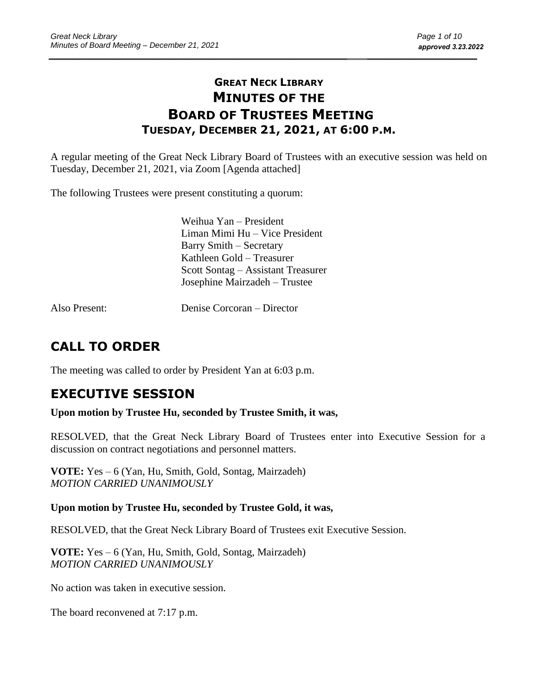## **GREAT NECK LIBRARY MINUTES OF THE BOARD OF TRUSTEES MEETING TUESDAY, DECEMBER 21, 2021, AT 6:00 P.M.**

A regular meeting of the Great Neck Library Board of Trustees with an executive session was held on Tuesday, December 21, 2021, via Zoom [Agenda attached]

The following Trustees were present constituting a quorum:

Weihua Yan – President Liman Mimi Hu – Vice President Barry Smith – Secretary Kathleen Gold – Treasurer Scott Sontag – Assistant Treasurer Josephine Mairzadeh – Trustee

Also Present: Denise Corcoran – Director

# **CALL TO ORDER**

The meeting was called to order by President Yan at 6:03 p.m.

# **EXECUTIVE SESSION**

#### **Upon motion by Trustee Hu, seconded by Trustee Smith, it was,**

RESOLVED, that the Great Neck Library Board of Trustees enter into Executive Session for a discussion on contract negotiations and personnel matters.

**VOTE:** Yes – 6 (Yan, Hu, Smith, Gold, Sontag, Mairzadeh) *MOTION CARRIED UNANIMOUSLY* 

### **Upon motion by Trustee Hu, seconded by Trustee Gold, it was,**

RESOLVED, that the Great Neck Library Board of Trustees exit Executive Session.

**VOTE:** Yes – 6 (Yan, Hu, Smith, Gold, Sontag, Mairzadeh) *MOTION CARRIED UNANIMOUSLY*

No action was taken in executive session.

The board reconvened at 7:17 p.m.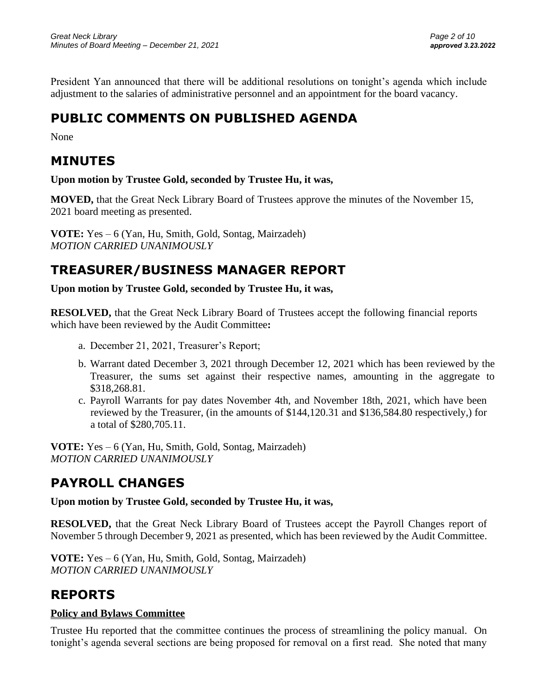President Yan announced that there will be additional resolutions on tonight's agenda which include adjustment to the salaries of administrative personnel and an appointment for the board vacancy.

# **PUBLIC COMMENTS ON PUBLISHED AGENDA**

None

## **MINUTES**

**Upon motion by Trustee Gold, seconded by Trustee Hu, it was,**

**MOVED,** that the Great Neck Library Board of Trustees approve the minutes of the November 15, 2021 board meeting as presented.

**VOTE:** Yes – 6 (Yan, Hu, Smith, Gold, Sontag, Mairzadeh) *MOTION CARRIED UNANIMOUSLY* 

# **TREASURER/BUSINESS MANAGER REPORT**

**Upon motion by Trustee Gold, seconded by Trustee Hu, it was,**

**RESOLVED,** that the Great Neck Library Board of Trustees accept the following financial reports which have been reviewed by the Audit Committee**:** 

- a. December 21, 2021, Treasurer's Report;
- b. Warrant dated December 3, 2021 through December 12, 2021 which has been reviewed by the Treasurer, the sums set against their respective names, amounting in the aggregate to \$318,268.81.
- c. Payroll Warrants for pay dates November 4th, and November 18th, 2021, which have been reviewed by the Treasurer, (in the amounts of \$144,120.31 and \$136,584.80 respectively,) for a total of \$280,705.11.

**VOTE:** Yes – 6 (Yan, Hu, Smith, Gold, Sontag, Mairzadeh) *MOTION CARRIED UNANIMOUSLY* 

# **PAYROLL CHANGES**

**Upon motion by Trustee Gold, seconded by Trustee Hu, it was,**

**RESOLVED,** that the Great Neck Library Board of Trustees accept the Payroll Changes report of November 5 through December 9, 2021 as presented, which has been reviewed by the Audit Committee.

**VOTE:** Yes – 6 (Yan, Hu, Smith, Gold, Sontag, Mairzadeh) *MOTION CARRIED UNANIMOUSLY*

# **REPORTS**

### **Policy and Bylaws Committee**

Trustee Hu reported that the committee continues the process of streamlining the policy manual. On tonight's agenda several sections are being proposed for removal on a first read. She noted that many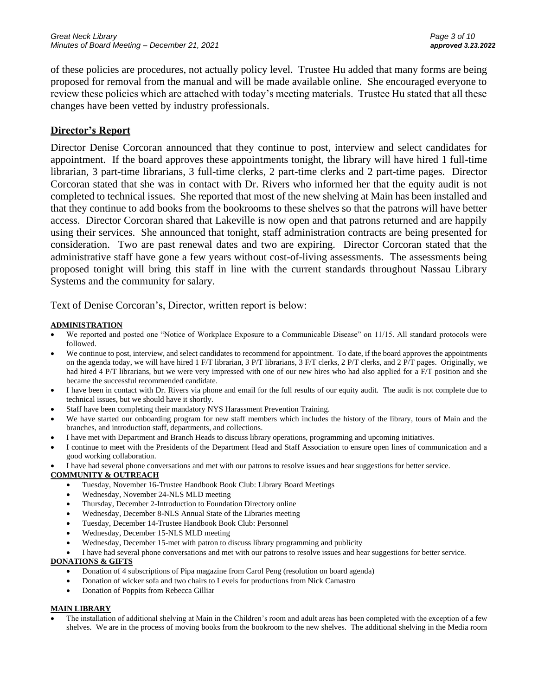of these policies are procedures, not actually policy level. Trustee Hu added that many forms are being proposed for removal from the manual and will be made available online. She encouraged everyone to review these policies which are attached with today's meeting materials. Trustee Hu stated that all these changes have been vetted by industry professionals.

#### **Director's Report**

Director Denise Corcoran announced that they continue to post, interview and select candidates for appointment. If the board approves these appointments tonight, the library will have hired 1 full-time librarian, 3 part-time librarians, 3 full-time clerks, 2 part-time clerks and 2 part-time pages. Director Corcoran stated that she was in contact with Dr. Rivers who informed her that the equity audit is not completed to technical issues. She reported that most of the new shelving at Main has been installed and that they continue to add books from the bookrooms to these shelves so that the patrons will have better access. Director Corcoran shared that Lakeville is now open and that patrons returned and are happily using their services. She announced that tonight, staff administration contracts are being presented for consideration. Two are past renewal dates and two are expiring. Director Corcoran stated that the administrative staff have gone a few years without cost-of-living assessments. The assessments being proposed tonight will bring this staff in line with the current standards throughout Nassau Library Systems and the community for salary.

Text of Denise Corcoran's, Director, written report is below:

#### **ADMINISTRATION**

- We reported and posted one "Notice of Workplace Exposure to a Communicable Disease" on 11/15. All standard protocols were followed.
- We continue to post, interview, and select candidates to recommend for appointment. To date, if the board approves the appointments on the agenda today, we will have hired 1 F/T librarian, 3 P/T librarians, 3 F/T clerks, 2 P/T clerks, and 2 P/T pages. Originally, we had hired 4 P/T librarians, but we were very impressed with one of our new hires who had also applied for a F/T position and she became the successful recommended candidate.
- I have been in contact with Dr. Rivers via phone and email for the full results of our equity audit. The audit is not complete due to technical issues, but we should have it shortly.
- Staff have been completing their mandatory NYS Harassment Prevention Training.
- We have started our onboarding program for new staff members which includes the history of the library, tours of Main and the branches, and introduction staff, departments, and collections.
- I have met with Department and Branch Heads to discuss library operations, programming and upcoming initiatives.
- I continue to meet with the Presidents of the Department Head and Staff Association to ensure open lines of communication and a good working collaboration.
	- I have had several phone conversations and met with our patrons to resolve issues and hear suggestions for better service.

#### **COMMUNITY & OUTREACH**

- Tuesday, November 16-Trustee Handbook Book Club: Library Board Meetings
- Wednesday, November 24-NLS MLD meeting
- Thursday, December 2-Introduction to Foundation Directory online
- Wednesday, December 8-NLS Annual State of the Libraries meeting
- Tuesday, December 14-Trustee Handbook Book Club: Personnel
- Wednesday, December 15-NLS MLD meeting
- Wednesday, December 15-met with patron to discuss library programming and publicity
- I have had several phone conversations and met with our patrons to resolve issues and hear suggestions for better service.

#### **DONATIONS & GIFTS**

- Donation of 4 subscriptions of Pipa magazine from Carol Peng (resolution on board agenda)
- Donation of wicker sofa and two chairs to Levels for productions from Nick Camastro
- Donation of Poppits from Rebecca Gilliar

#### **MAIN LIBRARY**

• The installation of additional shelving at Main in the Children's room and adult areas has been completed with the exception of a few shelves. We are in the process of moving books from the bookroom to the new shelves. The additional shelving in the Media room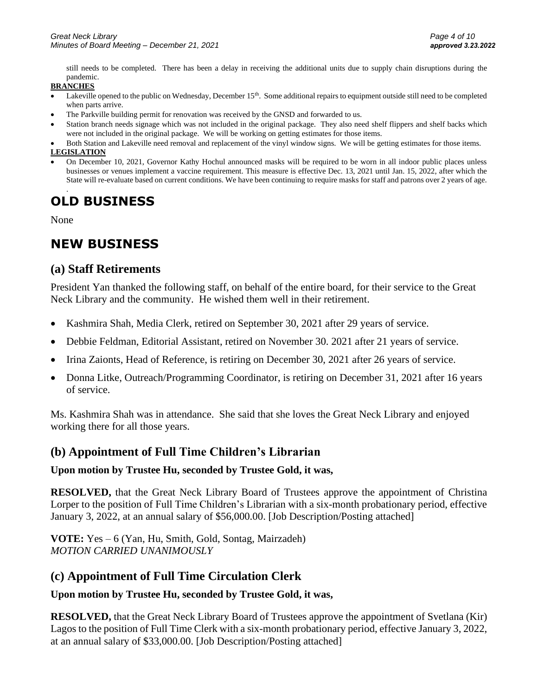still needs to be completed. There has been a delay in receiving the additional units due to supply chain disruptions during the pandemic.

#### **BRANCHES**

- Lakeville opened to the public on Wednesday, December 15<sup>th</sup>. Some additional repairs to equipment outside still need to be completed when parts arrive.
- The Parkville building permit for renovation was received by the GNSD and forwarded to us.
- Station branch needs signage which was not included in the original package. They also need shelf flippers and shelf backs which were not included in the original package. We will be working on getting estimates for those items.
- Both Station and Lakeville need removal and replacement of the vinyl window signs. We will be getting estimates for those items. **LEGISLATION**
- On December 10, 2021, Governor Kathy Hochul announced masks will be required to be worn in all indoor public places unless businesses or venues implement a vaccine requirement. This measure is effective Dec. 13, 2021 until Jan. 15, 2022, after which the State will re-evaluate based on current conditions. We have been continuing to require masks for staff and patrons over 2 years of age.

#### . **OLD BUSINESS**

None

## **NEW BUSINESS**

### **(a) Staff Retirements**

President Yan thanked the following staff, on behalf of the entire board, for their service to the Great Neck Library and the community. He wished them well in their retirement.

- Kashmira Shah, Media Clerk, retired on September 30, 2021 after 29 years of service.
- Debbie Feldman, Editorial Assistant, retired on November 30. 2021 after 21 years of service.
- Irina Zaionts, Head of Reference, is retiring on December 30, 2021 after 26 years of service.
- Donna Litke, Outreach/Programming Coordinator, is retiring on December 31, 2021 after 16 years of service.

Ms. Kashmira Shah was in attendance. She said that she loves the Great Neck Library and enjoyed working there for all those years.

### **(b) Appointment of Full Time Children's Librarian**

#### **Upon motion by Trustee Hu, seconded by Trustee Gold, it was,**

**RESOLVED,** that the Great Neck Library Board of Trustees approve the appointment of Christina Lorper to the position of Full Time Children's Librarian with a six-month probationary period, effective January 3, 2022, at an annual salary of \$56,000.00. [Job Description/Posting attached]

**VOTE:** Yes – 6 (Yan, Hu, Smith, Gold, Sontag, Mairzadeh) *MOTION CARRIED UNANIMOUSLY* 

### **(c) Appointment of Full Time Circulation Clerk**

#### **Upon motion by Trustee Hu, seconded by Trustee Gold, it was,**

**RESOLVED,** that the Great Neck Library Board of Trustees approve the appointment of Svetlana (Kir) Lagos to the position of Full Time Clerk with a six-month probationary period, effective January 3, 2022, at an annual salary of \$33,000.00. [Job Description/Posting attached]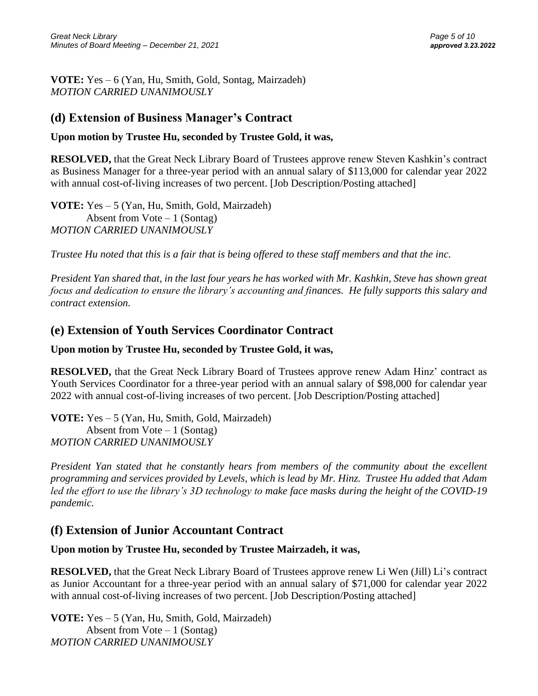**VOTE:** Yes – 6 (Yan, Hu, Smith, Gold, Sontag, Mairzadeh) *MOTION CARRIED UNANIMOUSLY* 

## **(d) Extension of Business Manager's Contract**

### **Upon motion by Trustee Hu, seconded by Trustee Gold, it was,**

**RESOLVED,** that the Great Neck Library Board of Trustees approve renew Steven Kashkin's contract as Business Manager for a three-year period with an annual salary of \$113,000 for calendar year 2022 with annual cost-of-living increases of two percent. [Job Description/Posting attached]

**VOTE:** Yes – 5 (Yan, Hu, Smith, Gold, Mairzadeh) Absent from  $Vote-1$  (Sontag) *MOTION CARRIED UNANIMOUSLY*

*Trustee Hu noted that this is a fair that is being offered to these staff members and that the inc.*

*President Yan shared that, in the last four years he has worked with Mr. Kashkin, Steve has shown great focus and dedication to ensure the library's accounting and finances. He fully supports this salary and contract extension.*

## **(e) Extension of Youth Services Coordinator Contract**

### **Upon motion by Trustee Hu, seconded by Trustee Gold, it was,**

**RESOLVED,** that the Great Neck Library Board of Trustees approve renew Adam Hinz' contract as Youth Services Coordinator for a three-year period with an annual salary of \$98,000 for calendar year 2022 with annual cost-of-living increases of two percent. [Job Description/Posting attached]

**VOTE:** Yes – 5 (Yan, Hu, Smith, Gold, Mairzadeh) Absent from  $Vote-1$  (Sontag) *MOTION CARRIED UNANIMOUSLY*

*President Yan stated that he constantly hears from members of the community about the excellent programming and services provided by Levels, which is lead by Mr. Hinz. Trustee Hu added that Adam led the effort to use the library's 3D technology to make face masks during the height of the COVID-19 pandemic.*

## **(f) Extension of Junior Accountant Contract**

### **Upon motion by Trustee Hu, seconded by Trustee Mairzadeh, it was,**

**RESOLVED,** that the Great Neck Library Board of Trustees approve renew Li Wen (Jill) Li's contract as Junior Accountant for a three-year period with an annual salary of \$71,000 for calendar year 2022 with annual cost-of-living increases of two percent. [Job Description/Posting attached]

**VOTE:** Yes – 5 (Yan, Hu, Smith, Gold, Mairzadeh) Absent from  $Vote-1$  (Sontag) *MOTION CARRIED UNANIMOUSLY*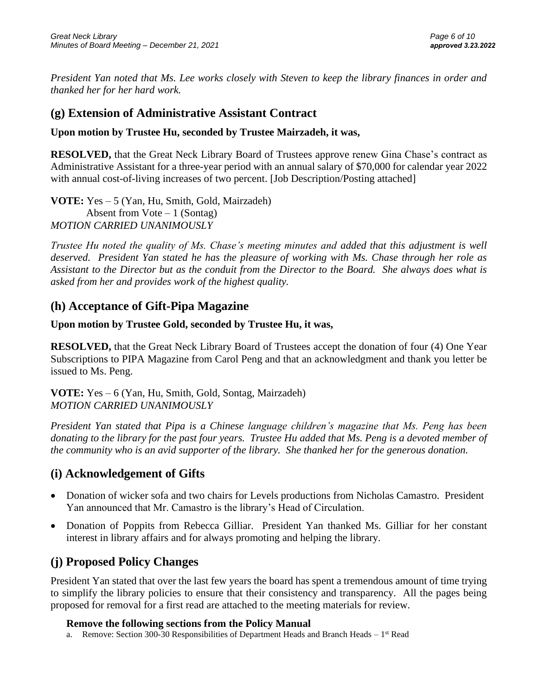*President Yan noted that Ms. Lee works closely with Steven to keep the library finances in order and thanked her for her hard work.* 

## **(g) Extension of Administrative Assistant Contract**

### **Upon motion by Trustee Hu, seconded by Trustee Mairzadeh, it was,**

**RESOLVED,** that the Great Neck Library Board of Trustees approve renew Gina Chase's contract as Administrative Assistant for a three-year period with an annual salary of \$70,000 for calendar year 2022 with annual cost-of-living increases of two percent. [Job Description/Posting attached]

**VOTE:** Yes – 5 (Yan, Hu, Smith, Gold, Mairzadeh) Absent from  $Vote-1$  (Sontag) *MOTION CARRIED UNANIMOUSLY*

*Trustee Hu noted the quality of Ms. Chase's meeting minutes and added that this adjustment is well deserved. President Yan stated he has the pleasure of working with Ms. Chase through her role as Assistant to the Director but as the conduit from the Director to the Board. She always does what is asked from her and provides work of the highest quality.* 

## **(h) Acceptance of Gift-Pipa Magazine**

### **Upon motion by Trustee Gold, seconded by Trustee Hu, it was,**

**RESOLVED,** that the Great Neck Library Board of Trustees accept the donation of four (4) One Year Subscriptions to PIPA Magazine from Carol Peng and that an acknowledgment and thank you letter be issued to Ms. Peng.

**VOTE:** Yes – 6 (Yan, Hu, Smith, Gold, Sontag, Mairzadeh) *MOTION CARRIED UNANIMOUSLY* 

*President Yan stated that Pipa is a Chinese language children's magazine that Ms. Peng has been donating to the library for the past four years. Trustee Hu added that Ms. Peng is a devoted member of the community who is an avid supporter of the library. She thanked her for the generous donation.*

## **(i) Acknowledgement of Gifts**

- Donation of wicker sofa and two chairs for Levels productions from Nicholas Camastro. President Yan announced that Mr. Camastro is the library's Head of Circulation.
- Donation of Poppits from Rebecca Gilliar. President Yan thanked Ms. Gilliar for her constant interest in library affairs and for always promoting and helping the library.

## **(j) Proposed Policy Changes**

President Yan stated that over the last few years the board has spent a tremendous amount of time trying to simplify the library policies to ensure that their consistency and transparency. All the pages being proposed for removal for a first read are attached to the meeting materials for review.

### **Remove the following sections from the Policy Manual**

a. Remove: Section 300-30 Responsibilities of Department Heads and Branch Heads  $-1<sup>st</sup>$  Read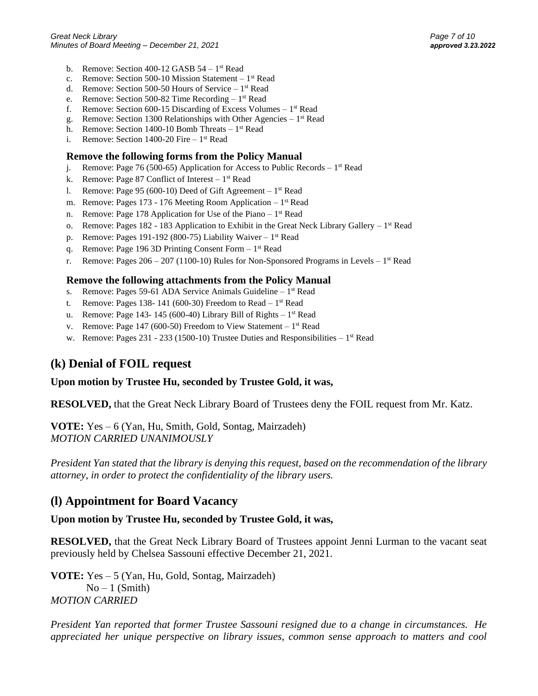- b. Remove: Section 400-12 GASB  $54 1$ <sup>st</sup> Read
- c. Remove: Section 500-10 Mission Statement 1<sup>st</sup> Read
- d. Remove: Section 500-50 Hours of Service 1<sup>st</sup> Read
- e. Remove: Section 500-82 Time Recording  $-1<sup>st</sup>$  Read
- f. Remove: Section 600-15 Discarding of Excess Volumes  $-1<sup>st</sup>$  Read
- g. Remove: Section 1300 Relationships with Other Agencies  $-1<sup>st</sup>$  Read
- h. Remove: Section 1400-10 Bomb Threats  $-1<sup>st</sup>$  Read
- i. Remove: Section 1400-20 Fire  $-1<sup>st</sup>$  Read

#### **Remove the following forms from the Policy Manual**

- j. Remove: Page 76 (500-65) Application for Access to Public Records  $-1^{st}$  Read
- k. Remove: Page 87 Conflict of Interest  $-1<sup>st</sup>$  Read
- 1. Remove: Page 95 (600-10) Deed of Gift Agreement  $-1<sup>st</sup>$  Read
- m. Remove: Pages 173 176 Meeting Room Application 1<sup>st</sup> Read
- n. Remove: Page 178 Application for Use of the Piano  $-1$ <sup>st</sup> Read
- o. Remove: Pages 182 183 Application to Exhibit in the Great Neck Library Gallery  $-1^{st}$  Read
- p. Remove: Pages 191-192 (800-75) Liability Waiver  $-1$ <sup>st</sup> Read
- q. Remove: Page 196 3D Printing Consent Form 1<sup>st</sup> Read
- r. Remove: Pages  $206 207$  (1100-10) Rules for Non-Sponsored Programs in Levels  $-1<sup>st</sup>$  Read

#### **Remove the following attachments from the Policy Manual**

- s. Remove: Pages 59-61 ADA Service Animals Guideline 1<sup>st</sup> Read
- t. Remove: Pages 138-141 (600-30) Freedom to Read  $-1$ <sup>st</sup> Read
- u. Remove: Page 143-145 (600-40) Library Bill of Rights  $-1$ <sup>st</sup> Read
- v. Remove: Page  $147 (600-50)$  Freedom to View Statement  $-1<sup>st</sup>$  Read
- w. Remove: Pages  $231 233$  (1500-10) Trustee Duties and Responsibilities  $-1^{st}$  Read

### **(k) Denial of FOIL request**

#### **Upon motion by Trustee Hu, seconded by Trustee Gold, it was,**

**RESOLVED,** that the Great Neck Library Board of Trustees deny the FOIL request from Mr. Katz.

**VOTE:** Yes – 6 (Yan, Hu, Smith, Gold, Sontag, Mairzadeh) *MOTION CARRIED UNANIMOUSLY*

*President Yan stated that the library is denying this request, based on the recommendation of the library attorney, in order to protect the confidentiality of the library users.*

### **(l) Appointment for Board Vacancy**

#### **Upon motion by Trustee Hu, seconded by Trustee Gold, it was,**

**RESOLVED,** that the Great Neck Library Board of Trustees appoint Jenni Lurman to the vacant seat previously held by Chelsea Sassouni effective December 21, 2021.

**VOTE:** Yes – 5 (Yan, Hu, Gold, Sontag, Mairzadeh)  $No-1$  (Smith) *MOTION CARRIED*

*President Yan reported that former Trustee Sassouni resigned due to a change in circumstances. He appreciated her unique perspective on library issues, common sense approach to matters and cool*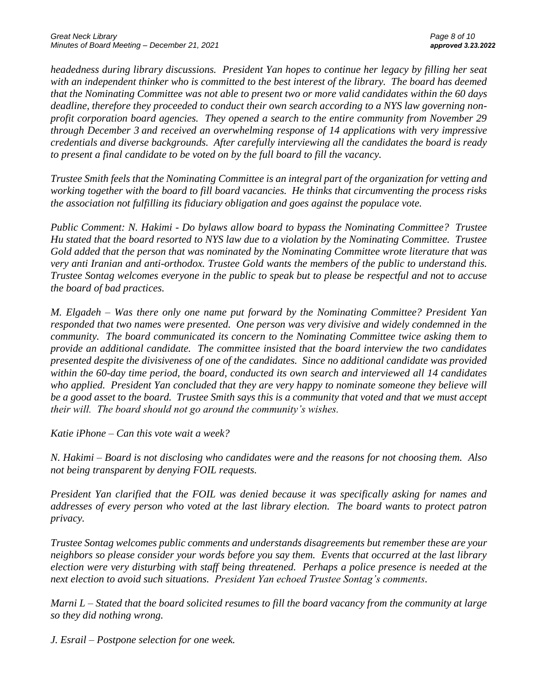*headedness during library discussions. President Yan hopes to continue her legacy by filling her seat with an independent thinker who is committed to the best interest of the library. The board has deemed that the Nominating Committee was not able to present two or more valid candidates within the 60 days deadline, therefore they proceeded to conduct their own search according to a NYS law governing nonprofit corporation board agencies. They opened a search to the entire community from November 29 through December 3 and received an overwhelming response of 14 applications with very impressive credentials and diverse backgrounds. After carefully interviewing all the candidates the board is ready to present a final candidate to be voted on by the full board to fill the vacancy.*

*Trustee Smith feels that the Nominating Committee is an integral part of the organization for vetting and working together with the board to fill board vacancies. He thinks that circumventing the process risks the association not fulfilling its fiduciary obligation and goes against the populace vote.*

*Public Comment: N. Hakimi - Do bylaws allow board to bypass the Nominating Committee? Trustee Hu stated that the board resorted to NYS law due to a violation by the Nominating Committee. Trustee Gold added that the person that was nominated by the Nominating Committee wrote literature that was very anti Iranian and anti-orthodox. Trustee Gold wants the members of the public to understand this. Trustee Sontag welcomes everyone in the public to speak but to please be respectful and not to accuse the board of bad practices.* 

*M. Elgadeh – Was there only one name put forward by the Nominating Committee? President Yan responded that two names were presented. One person was very divisive and widely condemned in the community. The board communicated its concern to the Nominating Committee twice asking them to provide an additional candidate. The committee insisted that the board interview the two candidates presented despite the divisiveness of one of the candidates. Since no additional candidate was provided within the 60-day time period, the board, conducted its own search and interviewed all 14 candidates who applied. President Yan concluded that they are very happy to nominate someone they believe will be a good asset to the board. Trustee Smith says this is a community that voted and that we must accept their will. The board should not go around the community's wishes.*

*Katie iPhone – Can this vote wait a week?*

*N. Hakimi – Board is not disclosing who candidates were and the reasons for not choosing them. Also not being transparent by denying FOIL requests.*

*President Yan clarified that the FOIL was denied because it was specifically asking for names and addresses of every person who voted at the last library election. The board wants to protect patron privacy.*

*Trustee Sontag welcomes public comments and understands disagreements but remember these are your neighbors so please consider your words before you say them. Events that occurred at the last library election were very disturbing with staff being threatened. Perhaps a police presence is needed at the next election to avoid such situations. President Yan echoed Trustee Sontag's comments.* 

*Marni L – Stated that the board solicited resumes to fill the board vacancy from the community at large so they did nothing wrong.*

*J. Esrail – Postpone selection for one week.*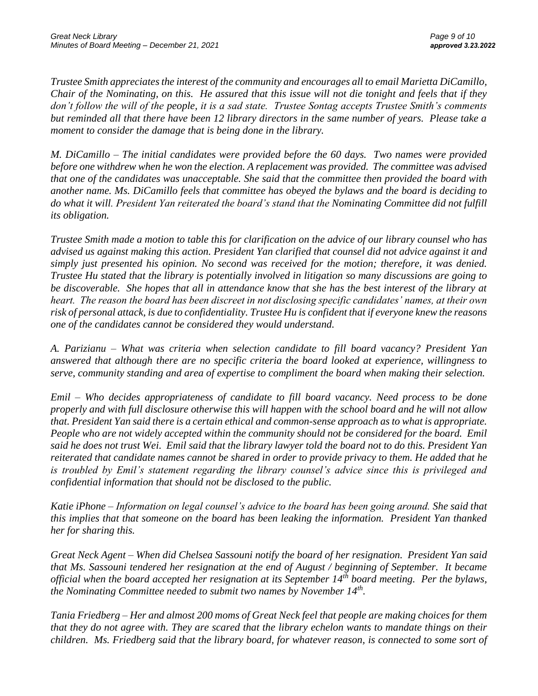*Trustee Smith appreciatesthe interest of the community and encourages all to email Marietta DiCamillo, Chair of the Nominating, on this. He assured that this issue will not die tonight and feels that if they don't follow the will of the people, it is a sad state. Trustee Sontag accepts Trustee Smith's comments but reminded all that there have been 12 library directors in the same number of years. Please take a moment to consider the damage that is being done in the library.*

*M. DiCamillo – The initial candidates were provided before the 60 days. Two names were provided before one withdrew when he won the election. A replacement was provided. The committee was advised that one of the candidates was unacceptable. She said that the committee then provided the board with another name. Ms. DiCamillo feels that committee has obeyed the bylaws and the board is deciding to do what it will. President Yan reiterated the board's stand that the Nominating Committee did not fulfill its obligation.*

*Trustee Smith made a motion to table this for clarification on the advice of our library counsel who has advised us against making this action. President Yan clarified that counsel did not advice against it and simply just presented his opinion. No second was received for the motion; therefore, it was denied. Trustee Hu stated that the library is potentially involved in litigation so many discussions are going to be discoverable. She hopes that all in attendance know that she has the best interest of the library at heart. The reason the board has been discreet in not disclosing specific candidates' names, at their own risk of personal attack, is due to confidentiality. Trustee Hu is confident that if everyone knew the reasons one of the candidates cannot be considered they would understand.* 

*A. Parizianu – What was criteria when selection candidate to fill board vacancy? President Yan answered that although there are no specific criteria the board looked at experience, willingness to serve, community standing and area of expertise to compliment the board when making their selection.*

*Emil – Who decides appropriateness of candidate to fill board vacancy. Need process to be done properly and with full disclosure otherwise this will happen with the school board and he will not allow that. President Yan said there is a certain ethical and common-sense approach as to what is appropriate. People who are not widely accepted within the community should not be considered for the board. Emil said he does not trust Wei. Emil said that the library lawyer told the board not to do this. President Yan reiterated that candidate names cannot be shared in order to provide privacy to them. He added that he is troubled by Emil's statement regarding the library counsel's advice since this is privileged and confidential information that should not be disclosed to the public.* 

*Katie iPhone – Information on legal counsel's advice to the board has been going around. She said that this implies that that someone on the board has been leaking the information. President Yan thanked her for sharing this.* 

*Great Neck Agent – When did Chelsea Sassouni notify the board of her resignation. President Yan said that Ms. Sassouni tendered her resignation at the end of August / beginning of September. It became official when the board accepted her resignation at its September 14th board meeting. Per the bylaws, the Nominating Committee needed to submit two names by November 14th .* 

*Tania Friedberg – Her and almost 200 moms of Great Neck feel that people are making choices for them that they do not agree with. They are scared that the library echelon wants to mandate things on their children. Ms. Friedberg said that the library board, for whatever reason, is connected to some sort of*